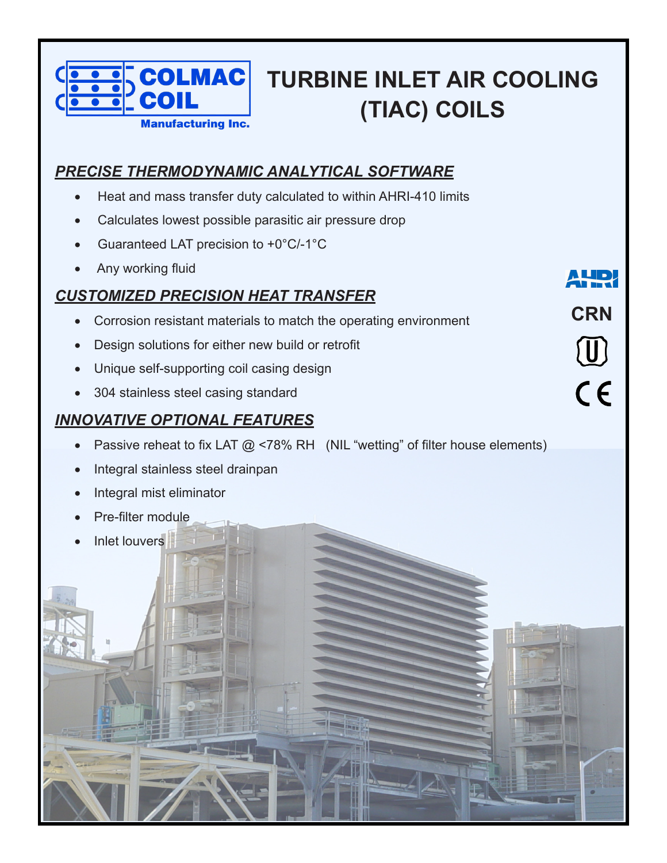

# **TURBINE INLET AIR COOLING (TIAC) COILS**

**CRN**

 $\textcircled{\scriptsize{1}}$ 

 $\epsilon$ 

### *PRECISE THERMODYNAMIC ANALYTICAL SOFTWARE*

- Heat and mass transfer duty calculated to within AHRI-410 limits
- Calculates lowest possible parasitic air pressure drop
- Guaranteed LAT precision to  $+0^{\circ}C/-1^{\circ}C$
- Any working fluid

#### *CUSTOMIZED PRECISION HEAT TRANSFER*

- Corrosion resistant materials to match the operating environment
- **Design solutions for either new build or retrofit**
- Unique self-supporting coil casing design
- 304 stainless steel casing standard

## *INNOVATIVE OPTIONAL FEATURES*

- Passive reheat to fix LAT  $@$  <78% RH (NIL "wetting" of filter house elements)
- Integral stainless steel drainpan
- **Integral mist eliminator**
- **Pre-filter module**
- Inlet louvers